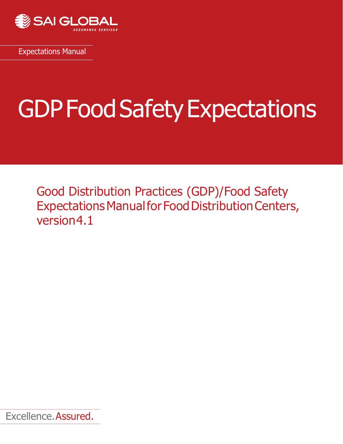

Expectations Manual

# GDP Food Safety Expectations

Good Distribution Practices (GDP)/Food Safety Expectations Manual for Food Distribution Centers, version 4.1

Excellence. Assured.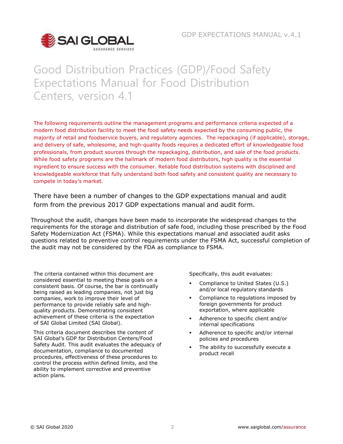

# Good Distribution Practices (GDP)/Food Safety Expectations Manual for Food Distribution Centers, version 4.1

The following requirements outline the management programs and performance criteria expected of a modern food distribution facility to meet the food safety needs expected by the consuming public, the majority of retail and foodservice buyers, and regulatory agencies. The repackaging (if applicable), storage, and delivery of safe, wholesome, and high-quality foods requires a dedicated effort of knowledgeable food professionals, from product sources through the repackaging, distribution, and sale of the food products. While food safety programs are the hallmark of modern food distributors, high quality is the essential ingredient to ensure success with the consumer. Reliable food distribution systems with disciplined and knowledgeable workforce that fully understand both food safety and consistent quality are necessary to compete in today's market.

There have been a number of changes to the GDP expectations manual and audit form from the previous 2017 GDP expectations manual and audit form.

Throughout the audit, changes have been made to incorporate the widespread changes to the requirements for the storage and distribution of safe food, including those prescribed by the Food Safety Modernization Act (FSMA). While this expectations manual and associated audit asks questions related to preventive control requirements under the FSMA Act, successful completion of the audit may not be considered by the FDA as compliance to FSMA.

The criteria contained within this document are considered essential to meeting these goals on a consistent basis. Of course, the bar is continually being raised as leading companies, not just big companies, work to improve their level of performance to provide reliably safe and highquality products. Demonstrating consistent achievement of these criteria is the expectation of SAI Global Limited (SAI Global).

This criteria document describes the content of SAI Global's GDP for Distribution Centers/Food Safety Audit. This audit evaluates the adequacy of documentation, compliance to documented procedures, effectiveness of these procedures to control the process within defined limits, and the ability to implement corrective and preventive action plans.

Specifically, this audit evaluates:

- Compliance to United States (U.S.) and/or local regulatory standards
- Compliance to regulations imposed by foreign governments for product exportation, where applicable
- Adherence to specific client and/or internal specifications
- Adherence to specific and/or internal policies and procedures
- The ability to successfully execute a product recall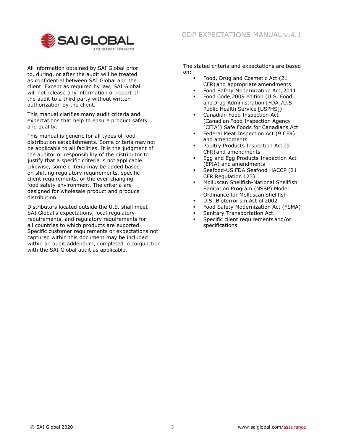

All information obtained by SAI Global prior to, during, or after the audit will be treated as confidential between SAI Global and the client. Except as required by law, SAI Global will not release any information or report of the audit to a third party without written authorization by the client.

This manual clarifies many audit criteria and expectations that help to ensure product safety and quality.

This manual is generic for all types of food distribution establishments. Some criteria may not be applicable to all facilities. It is the judgment of the auditor or responsibility of the distributor to justify that a specific criteria is not applicable. Likewise, some criteria may be added based on shifting regulatory requirements, specific client requirements, or the ever-changing food safety environment. The criteria are designed for wholesale product and produce distribution.

Distributors located outside the U.S. shall meet SAI Global's expectations, local regulatory requirements, and regulatory requirements for all countries to which products are exported. Specific customer requirements or expectations not captured within this document may be included within an audit addendum, completed in conjunction with the SAI Global audit as applicable.

The stated criteria and expectations are based on:

- Food, Drug and Cosmetic Act (21 CFR) and appropriate amendments
- Food Safety Modernization Act, 2011
- Food Code,2009 edition (U.S. Food and Drug Administration [FDA]/U.S. Public Health Service [USPHS])
- Canadian Food Inspection Act (Canadian Food Inspection Agency [CFIA]) Safe Foods for Canadians Act
- Federal Meat Inspection Act (9 CFR) and amendments
- Poultry Products Inspection Act (9 CFR) and amendments
- **Egg and Egg Products Inspection Act** (EPIA) and amendments
- Seafood-US FDA Seafood HACCP (21 CFR Regulation 123)
- Molluscan Shellfish-National Shellfish Sanitation Program (NSSP) Model Ordinance for Molluscan Shellfish
- U.S. Bioterrorism Act of 2002
- Food Safety Modernization Act (FSMA)
- Sanitary Transportation Act.
- Specific client requirements and/or specifications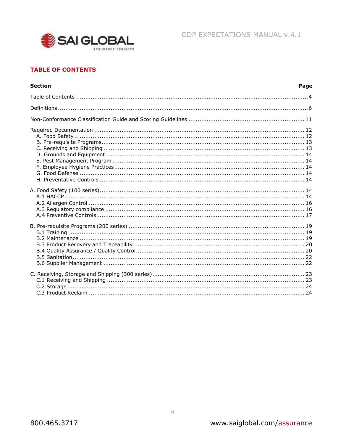

# **TABLE OF CONTENTS**

# **Section** Page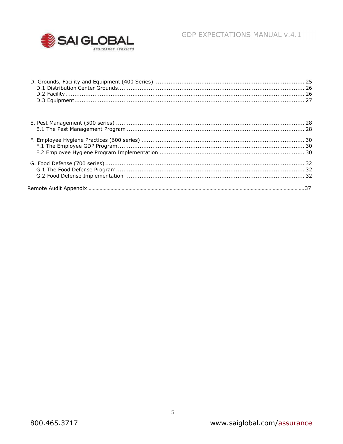

# GDP EXPECTATIONS MANUAL v.4.1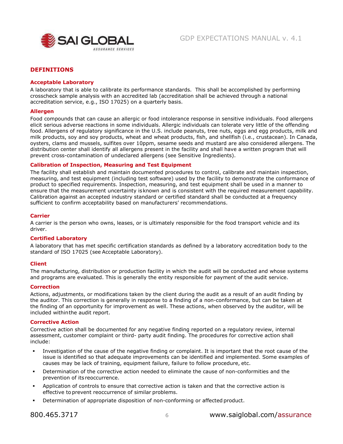

#### DEFINITIONS

#### Acceptable Laboratory

A laboratory that is able to calibrate its performance standards. This shall be accomplished by performing crosscheck sample analysis with an accredited lab (accreditation shall be achieved through a national accreditation service, e.g., ISO 17025) on a quarterly basis.

#### **Allergen**

Food compounds that can cause an allergic or food intolerance response in sensitive individuals. Food allergens elicit serious adverse reactions in some individuals. Allergic individuals can tolerate very little of the offending food. Allergens of regulatory significance in the U.S. include peanuts, tree nuts, eggs and egg products, milk and milk products, soy and soy products, wheat and wheat products, fish, and shellfish (i.e., crustacean). In Canada, oysters, clams and mussels, sulfites over 10ppm, sesame seeds and mustard are also considered allergens. The distribution center shall identify all allergens present in the facility and shall have a written program that will prevent cross-contamination of undeclared allergens (see Sensitive Ingredients).

#### Calibration of Inspection, Measuring and Test Equipment

The facility shall establish and maintain documented procedures to control, calibrate and maintain inspection, measuring, and test equipment (including test software) used by the facility to demonstrate the conformance of product to specified requirements. Inspection, measuring, and test equipment shall be used in a manner to ensure that the measurement uncertainty is known and is consistent with the required measurement capability. Calibration against an accepted industry standard or certified standard shall be conducted at a frequency sufficient to confirm acceptability based on manufacturers' recommendations.

#### Carrier

A carrier is the person who owns, leases, or is ultimately responsible for the food transport vehicle and its driver.

#### Certified Laboratory

A laboratory that has met specific certification standards as defined by a laboratory accreditation body to the standard of ISO 17025 (see Acceptable Laboratory).

#### Client

The manufacturing, distribution or production facility in which the audit will be conducted and whose systems and programs are evaluated. This is generally the entity responsible for payment of the audit service.

#### **Correction**

Actions, adjustments, or modifications taken by the client during the audit as a result of an audit finding by the auditor. This correction is generally in response to a finding of a non-conformance, but can be taken at the finding of an opportunity for improvement as well. These actions, when observed by the auditor, will be included within the audit report.

#### Corrective Action

Corrective action shall be documented for any negative finding reported on a regulatory review, internal assessment, customer complaint or third- party audit finding. The procedures for corrective action shall include:

- Investigation of the cause of the negative finding or complaint. It is important that the root cause of the issue is identified so that adequate improvements can be identified and implemented. Some examples of causes may be lack of training, equipment failure, failure to follow procedure, etc.
- Determination of the corrective action needed to eliminate the cause of non-conformities and the prevention of its reoccurrence.
- Application of controls to ensure that corrective action is taken and that the corrective action is effective to prevent reoccurrence of similar problems.
- Determination of appropriate disposition of non-conforming or affected product.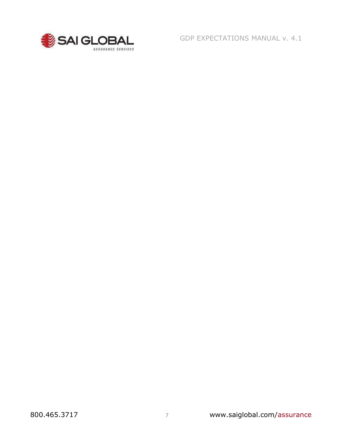

GDP EXPECTATIONS MANUAL v. 4.1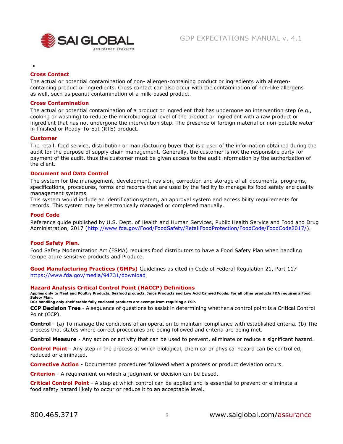

#### Cross Contact

٠

The actual or potential contamination of non- allergen-containing product or ingredients with allergencontaining product or ingredients. Cross contact can also occur with the contamination of non-like allergens as well, such as peanut contamination of a milk-based product.

#### Cross Contamination

The actual or potential contamination of a product or ingredient that has undergone an intervention step (e.g., cooking or washing) to reduce the microbiological level of the product or ingredient with a raw product or ingredient that has not undergone the intervention step. The presence of foreign material or non-potable water in finished or Ready-To-Eat (RTE) product.

#### Customer

The retail, food service, distribution or manufacturing buyer that is a user of the information obtained during the audit for the purpose of supply chain management. Generally, the customer is not the responsible party for payment of the audit, thus the customer must be given access to the audit information by the authorization of the client.

#### Document and Data Control

The system for the management, development, revision, correction and storage of all documents, programs, specifications, procedures, forms and records that are used by the facility to manage its food safety and quality management systems.

This system would include an identification system, an approval system and accessibility requirements for records. This system may be electronically managed or completed manually.

#### Food Code

Reference guide published by U.S. Dept. of Health and Human Services, Public Health Service and Food and Drug Administration, 2017 (http://www.fda.gov/Food/FoodSafety/RetailFoodProtection/FoodCode/FoodCode2017/).

#### Food Safety Plan.

Food Safety Modernization Act (FSMA) requires food distributors to have a Food Safety Plan when handling temperature sensitive products and Produce.

Good Manufacturing Practices (GMPs) Guidelines as cited in Code of Federal Regulation 21, Part 117 https://www.fda.gov/media/94731/download

#### Hazard Analysis Critical Control Point (HACCP) Definitions

Applies only to Meat and Poultry Products, Seafood products, Juice Products and Low Acid Canned Foods. For all other products FDA requires a Food Safety Plan. DCs handling only shelf stable fully enclosed products are exempt from requiring a FSP.

CCP Decision Tree - A sequence of questions to assist in determining whether a control point is a Critical Control Point (CCP).

**Control** - (a) To manage the conditions of an operation to maintain compliance with established criteria. (b) The process that states where correct procedures are being followed and criteria are being met.

Control Measure - Any action or activity that can be used to prevent, eliminate or reduce a significant hazard.

Control Point - Any step in the process at which biological, chemical or physical hazard can be controlled, reduced or eliminated.

Corrective Action - Documented procedures followed when a process or product deviation occurs.

**Criterion** - A requirement on which a judgment or decision can be based.

**Critical Control Point** - A step at which control can be applied and is essential to prevent or eliminate a food safety hazard likely to occur or reduce it to an acceptable level.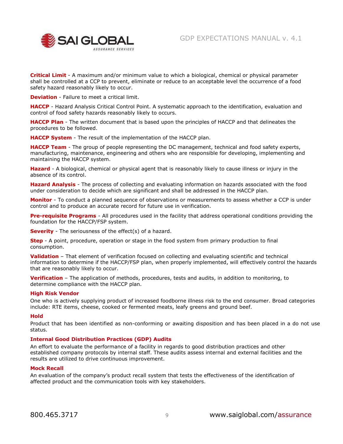

**Critical Limit** - A maximum and/or minimum value to which a biological, chemical or physical parameter shall be controlled at a CCP to prevent, eliminate or reduce to an acceptable level the occurrence of a food safety hazard reasonably likely to occur.

Deviation - Failure to meet a critical limit.

HACCP - Hazard Analysis Critical Control Point. A systematic approach to the identification, evaluation and control of food safety hazards reasonably likely to occurs.

**HACCP Plan** - The written document that is based upon the principles of HACCP and that delineates the procedures to be followed.

**HACCP System** - The result of the implementation of the HACCP plan.

**HACCP Team** - The group of people representing the DC management, technical and food safety experts, manufacturing, maintenance, engineering and others who are responsible for developing, implementing and maintaining the HACCP system.

Hazard - A biological, chemical or physical agent that is reasonably likely to cause illness or injury in the absence of its control.

Hazard Analysis - The process of collecting and evaluating information on hazards associated with the food under consideration to decide which are significant and shall be addressed in the HACCP plan.

Monitor - To conduct a planned sequence of observations or measurements to assess whether a CCP is under control and to produce an accurate record for future use in verification.

**Pre-requisite Programs** - All procedures used in the facility that address operational conditions providing the foundation for the HACCP/FSP system.

Severity - The seriousness of the effect(s) of a hazard.

Step - A point, procedure, operation or stage in the food system from primary production to final consumption.

Validation - That element of verification focused on collecting and evaluating scientific and technical information to determine if the HACCP/FSP plan, when properly implemented, will effectively control the hazards that are reasonably likely to occur.

**Verification** – The application of methods, procedures, tests and audits, in addition to monitoring, to determine compliance with the HACCP plan.

#### High Risk Vendor

One who is actively supplying product of increased foodborne illness risk to the end consumer. Broad categories include: RTE items, cheese, cooked or fermented meats, leafy greens and ground beef.

#### Hold

Product that has been identified as non-conforming or awaiting disposition and has been placed in a do not use status.

#### Internal Good Distribution Practices (GDP) Audits

An effort to evaluate the performance of a facility in regards to good distribution practices and other established company protocols by internal staff. These audits assess internal and external facilities and the results are utilized to drive continuous improvement.

#### Mock Recall

An evaluation of the company's product recall system that tests the effectiveness of the identification of affected product and the communication tools with key stakeholders.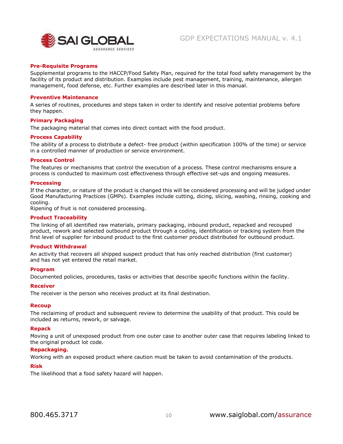

#### Pre-Requisite Programs

Supplemental programs to the HACCP/Food Safety Plan, required for the total food safety management by the facility of its product and distribution. Examples include pest management, training, maintenance, allergen management, food defense, etc. Further examples are described later in this manual.

#### Preventive Maintenance

A series of routines, procedures and steps taken in order to identify and resolve potential problems before they happen.

#### Primary Packaging

The packaging material that comes into direct contact with the food product.

#### Process Capability

The ability of a process to distribute a defect- free product (within specification 100% of the time) or service in a controlled manner of production or service environment.

#### Process Control

The features or mechanisms that control the execution of a process. These control mechanisms ensure a process is conducted to maximum cost effectiveness through effective set-ups and ongoing measures.

#### Processing

If the character, or nature of the product is changed this will be considered processing and will be judged under Good Manufacturing Practices (GMPs). Examples include cutting, dicing, slicing, washing, rinsing, cooking and cooling.

Ripening of fruit is not considered processing.

#### Product Traceability

The linking of all identified raw materials, primary packaging, inbound product, repacked and recouped product, rework and selected outbound product through a coding, identification or tracking system from the first level of supplier for inbound product to the first customer product distributed for outbound product.

#### Product Withdrawal

An activity that recovers all shipped suspect product that has only reached distribution (first customer) and has not yet entered the retail market.

#### Program

Documented policies, procedures, tasks or activities that describe specific functions within the facility.

#### Receiver

The receiver is the person who receives product at its final destination.

#### Recoup

The reclaiming of product and subsequent review to determine the usability of that product. This could be included as returns, rework, or salvage.

#### Repack

Moving a unit of unexposed product from one outer case to another outer case that requires labeling linked to the original product lot code.

#### Repackaging.

Working with an exposed product where caution must be taken to avoid contamination of the products.

#### Risk

The likelihood that a food safety hazard will happen.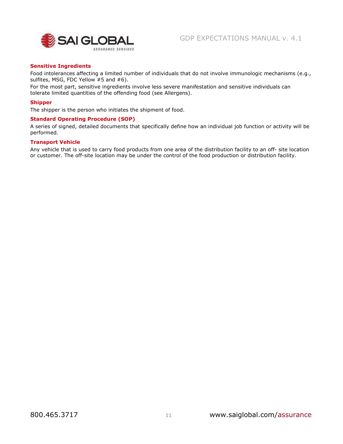

#### Sensitive Ingredients

Food intolerances affecting a limited number of individuals that do not involve immunologic mechanisms (e.g., sulfites, MSG, FDC Yellow #5 and #6).

For the most part, sensitive ingredients involve less severe manifestation and sensitive individuals can tolerate limited quantities of the offending food (see Allergens).

#### Shipper

The shipper is the person who initiates the shipment of food.

#### Standard Operating Procedure (SOP)

A series of signed, detailed documents that specifically define how an individual job function or activity will be performed.

#### Transport Vehicle

Any vehicle that is used to carry food products from one area of the distribution facility to an off- site location or customer. The off-site location may be under the control of the food production or distribution facility.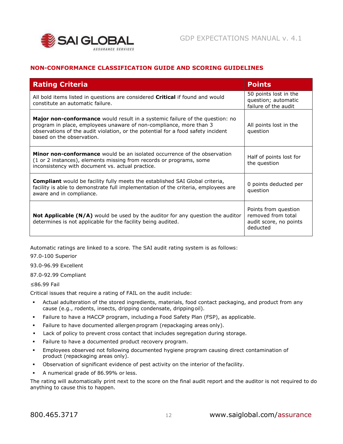



# NON-CONFORMANCE CLASSIFICATION GUIDE AND SCORING GUIDELINES

| <b>Rating Criteria</b>                                                                                                                                                                                                                                                     | <b>Points</b>                                                                    |
|----------------------------------------------------------------------------------------------------------------------------------------------------------------------------------------------------------------------------------------------------------------------------|----------------------------------------------------------------------------------|
| All bold items listed in questions are considered <b>Critical</b> if found and would<br>constitute an automatic failure.                                                                                                                                                   | 50 points lost in the<br>question; automatic<br>failure of the audit             |
| <b>Major non-conformance</b> would result in a systemic failure of the question: no<br>program in place, employees unaware of non-compliance, more than 3<br>observations of the audit violation, or the potential for a food safety incident<br>based on the observation. | All points lost in the<br>question                                               |
| <b>Minor non-conformance</b> would be an isolated occurrence of the observation<br>(1 or 2 instances), elements missing from records or programs, some<br>inconsistency with document vs. actual practice.                                                                 | Half of points lost for<br>the question                                          |
| <b>Compliant</b> would be facility fully meets the established SAI Global criteria,<br>facility is able to demonstrate full implementation of the criteria, employees are<br>aware and in compliance.                                                                      | 0 points deducted per<br>question                                                |
| Not Applicable (N/A) would be used by the auditor for any question the auditor<br>determines is not applicable for the facility being audited.                                                                                                                             | Points from question<br>removed from total<br>audit score, no points<br>deducted |

Automatic ratings are linked to a score. The SAI audit rating system is as follows:

97.0-100 Superior

93.0-96.99 Excellent

87.0-92.99 Compliant

≤86.99 Fail

Critical issues that require a rating of FAIL on the audit include:

- Actual adulteration of the stored ingredients, materials, food contact packaging, and product from any cause (e.g., rodents, insects, dripping condensate, dripping oil).
- Failure to have a HACCP program, including a Food Safety Plan (FSP), as applicable.
- Failure to have documented allergen program (repackaging areas only).
- Lack of policy to prevent cross contact that includes segregation during storage.
- Failure to have a documented product recovery program.
- Employees observed not following documented hygiene program causing direct contamination of product (repackaging areas only).
- Observation of significant evidence of pest activity on the interior of the facility.
- A numerical grade of 86.99% or less.

The rating will automatically print next to the score on the final audit report and the auditor is not required to do anything to cause this to happen.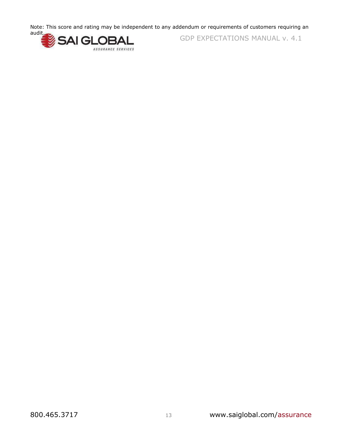Note: This score and rating may be independent to any addendum or requirements of customers requiring an



GDP EXPECTATIONS MANUAL v. 4.1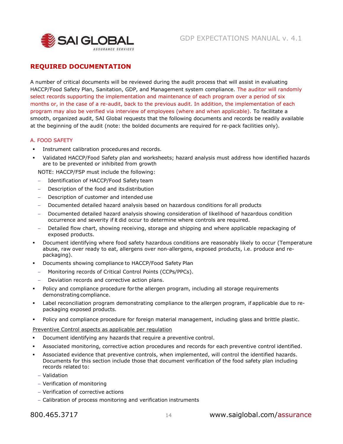

# REQUIRED DOCUMENTATION

A number of critical documents will be reviewed during the audit process that will assist in evaluating HACCP/Food Safety Plan, Sanitation, GDP, and Management system compliance. The auditor will randomly select records supporting the implementation and maintenance of each program over a period of six months or, in the case of a re-audit, back to the previous audit. In addition, the implementation of each program may also be verified via interview of employees (where and when applicable). To facilitate a smooth, organized audit, SAI Global requests that the following documents and records be readily available at the beginning of the audit (note: the bolded documents are required for re-pack facilities only).

#### A. FOOD SAFETY

- Instrument calibration procedures and records.
- Validated HACCP/Food Safety plan and worksheets; hazard analysis must address how identified hazards are to be prevented or inhibited from growth

NOTE: HACCP/FSP must include the following:

- Identification of HACCP/Food Safety team
- Description of the food and its distribution
- Description of customer and intended use
- Documented detailed hazard analysis based on hazardous conditions for all products
- Documented detailed hazard analysis showing consideration of likelihood of hazardous condition occurrence and severity if it did occur to determine where controls are required.
- Detailed flow chart, showing receiving, storage and shipping and where applicable repackaging of exposed products.
- Document identifying where food safety hazardous conditions are reasonably likely to occur (Temperature abuse, raw over ready to eat, allergens over non-allergens, exposed products, i.e. produce and repackaging).
- Documents showing compliance to HACCP/Food Safety Plan
	- Monitoring records of Critical Control Points (CCPs/PPCs).
	- Deviation records and corrective action plans.
- Policy and compliance procedure for the allergen program, including all storage requirements demonstrating compliance.
- Label reconciliation program demonstrating compliance to the allergen program, if applicable due to repackaging exposed products.
- Policy and compliance procedure for foreign material management, including glass and brittle plastic.

Preventive Control aspects as applicable per regulation

- Document identifying any hazards that require a preventive control.
- Associated monitoring, corrective action procedures and records for each preventive control identified.
- Associated evidence that preventive controls, when implemented, will control the identified hazards. Documents for this section include those that document verification of the food safety plan including records related to:
	- Validation
	- Verification of monitoring
	- Verification of corrective actions
	- Calibration of process monitoring and verification instruments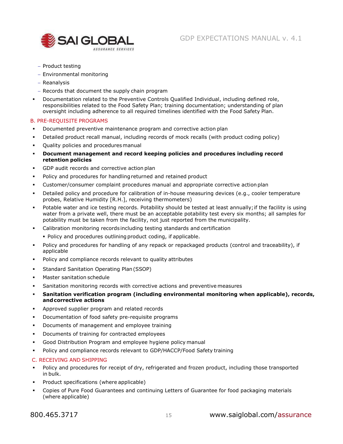

- Product testing
- Environmental monitoring
- Reanalysis
- Records that document the supply chain program
- Documentation related to the Preventive Controls Qualified Individual, including defined role, responsibilities related to the Food Safety Plan; training documentation; understanding of plan oversight including adherence to all required timelines identified with the Food Safety Plan.

#### B. PRE-REQUISITE PROGRAMS

- Documented preventive maintenance program and corrective action plan
- Detailed product recall manual, including records of mock recalls (with product coding policy)
- Quality policies and procedures manual
- Document management and record keeping policies and procedures including record retention policies
- GDP audit records and corrective action plan
- Policy and procedures for handling returned and retained product
- Customer/consumer complaint procedures manual and appropriate corrective action plan
- Detailed policy and procedure for calibration of in-house measuring devices (e.g., cooler temperature probes, Relative Humidity [R.H.], receiving thermometers)
- Potable water and ice testing records. Potability should be tested at least annually; if the facility is using water from a private well, there must be an acceptable potability test every six months; all samples for potability must be taken from the facility, not just reported from the municipality.
- Calibration monitoring records including testing standards and certification
	- Policy and procedures outlining product coding, if applicable.
- Policy and procedures for handling of any repack or repackaged products (control and traceability), if applicable
- Policy and compliance records relevant to quality attributes
- Standard Sanitation Operating Plan (SSOP)
- Master sanitation schedule
- Sanitation monitoring records with corrective actions and preventive measures
- Sanitation verification program (including environmental monitoring when applicable), records, and corrective actions
- **Approved supplier program and related records**
- Documentation of food safety pre-requisite programs
- Documents of management and employee training
- Documents of training for contracted employees
- Good Distribution Program and employee hygiene policy manual
- Policy and compliance records relevant to GDP/HACCP/Food Safety training

#### C. RECEIVING AND SHIPPING

- Policy and procedures for receipt of dry, refrigerated and frozen product, including those transported in bulk.
- Product specifications (where applicable)
- Copies of Pure Food Guarantees and continuing Letters of Guarantee for food packaging materials (where applicable)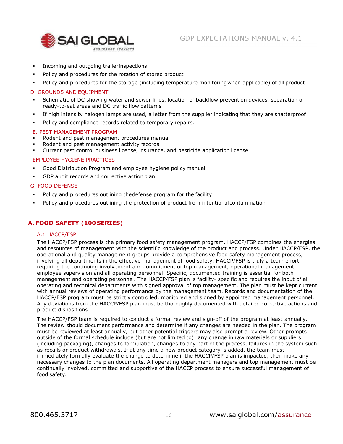

- Incoming and outgoing trailer inspections
- Policy and procedures for the rotation of stored product
- Policy and procedures for the storage (including temperature monitoring when applicable) of all product

#### D. GROUNDS AND EQUIPMENT

- Schematic of DC showing water and sewer lines, location of backflow prevention devices, separation of ready-to-eat areas and DC traffic flow patterns
- If high intensity halogen lamps are used, a letter from the supplier indicating that they are shatterproof
- **Policy and compliance records related to temporary repairs.**

#### E. PEST MANAGEMENT PROGRAM

- Rodent and pest management procedures manual
- Rodent and pest management activity records
- Current pest control business license, insurance, and pesticide application license

#### EMPLOYEE HYGIENE PRACTICES

- Good Distribution Program and employee hygiene policy manual
- GDP audit records and corrective action plan

#### G. FOOD DEFENSE

- Policy and procedures outlining the defense program for the facility
- Policy and procedures outlining the protection of product from intentional contamination

#### A. FOOD SAFETY (100 SERIES)

#### A.1 HACCP/FSP

The HACCP/FSP process is the primary food safety management program. HACCP/FSP combines the energies and resources of management with the scientific knowledge of the product and process. Under HACCP/FSP, the operational and quality management groups provide a comprehensive food safety management process, involving all departments in the effective management of food safety. HACCP/FSP is truly a team effort requiring the continuing involvement and commitment of top management, operational management, employee supervision and all operating personnel. Specific, documented training is essential for both management and operating personnel. The HACCP/FSP plan is facility- specific and requires the input of all operating and technical departments with signed approval of top management. The plan must be kept current with annual reviews of operating performance by the management team. Records and documentation of the HACCP/FSP program must be strictly controlled, monitored and signed by appointed management personnel. Any deviations from the HACCP/FSP plan must be thoroughly documented with detailed corrective actions and product dispositions.

The HACCP/FSP team is required to conduct a formal review and sign-off of the program at least annually. The review should document performance and determine if any changes are needed in the plan. The program must be reviewed at least annually, but other potential triggers may also prompt a review. Other prompts outside of the formal schedule include (but are not limited to): any change in raw materials or suppliers (including packaging), changes to formulation, changes to any part of the process, failures in the system such as recalls or product withdrawals. If at any time a new product category is added, the team must immediately formally evaluate the change to determine if the HACCP/FSP plan is impacted, then make any necessary changes to the plan documents. All operating department managers and top management must be continually involved, committed and supportive of the HACCP process to ensure successful management of food safety.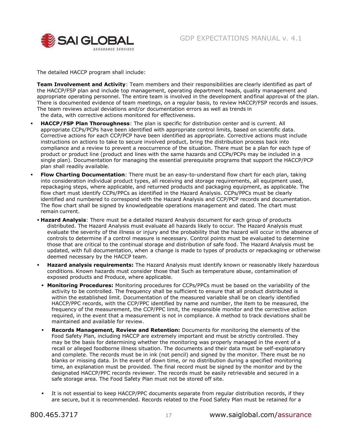

The detailed HACCP program shall include:

**Team Involvement and Activity:** Team members and their responsibilities are clearly identified as part of the HACCP/FSP plan and include top management, operating department heads, quality management and appropriate operating personnel. The entire team is involved in the development and final approval of the plan. There is documented evidence of team meetings, on a regular basis, to review HACCP/FSP records and issues. The team reviews actual deviations and/or documentation errors as well as trends in the data, with corrective actions monitored for effectiveness.

- HACCP/FSP Plan Thoroughness: The plan is specific for distribution center and is current. All appropriate CCPs/PCPs have been identified with appropriate control limits, based on scientific data. Corrective actions for each CCP/PCP have been identified as appropriate. Corrective actions must include instructions on actions to take to secure involved product, bring the distribution process back into compliance and a review to prevent a reoccurrence of the situation. There must be a plan for each type of product or product line (product and lines with the same hazards and CCPs/PCPs may be included in a single plan). Documentation for managing the essential prerequisite programs that support the HACCP/PCP plan shall readily available.
- **Flow Charting Documentation:** There must be an easy-to-understand flow chart for each plan, taking into consideration individual product types, all receiving and storage requirements, all equipment used, repackaging steps, where applicable, and returned products and packaging equipment, as applicable. The flow chart must identify CCPs/PPCs as identified in the Hazard Analysis. CCPs/PPCs must be clearly identified and numbered to correspond with the Hazard Analysis and CCP/PCP records and documentation. The flow chart shall be signed by knowledgeable operations management and dated. The chart must remain current.
	- **Hazard Analysis:** There must be a detailed Hazard Analysis document for each group of products distributed. The Hazard Analysis must evaluate all hazards likely to occur. The Hazard Analysis must evaluate the severity of the illness or injury and the probability that the hazard will occur in the absence of controls to determine if a control measure is necessary. Control points must be evaluated to determine those that are critical to the continual storage and distribution of safe food. The Hazard Analysis must be updated, with full documentation, when a change is made to types of products or repackaging or otherwise deemed necessary by the HACCP team.
	- Hazard analysis requirements: The Hazard Analysis must identify known or reasonably likely hazardous conditions. Known hazards must consider those that Such as temperature abuse, contamination of exposed products and Produce, where applicable.
		- Monitoring Procedures: Monitoring procedures for CCPs/PPCs must be based on the variability of the activity to be controlled. The frequency shall be sufficient to ensure that all product distributed is within the established limit. Documentation of the measured variable shall be on clearly identified HACCP/PPC records, with the CCP/PPC identified by name and number, the item to be measured, the frequency of the measurement, the CCP/PPC limit, the responsible monitor and the corrective action required, in the event that a measurement is not in compliance. A method to track deviations shall be maintained and available for review.
		- Records Management, Review and Retention: Documents for monitoring the elements of the Food Safety Plan, including HACCP are extremely important and must be strictly controlled. They may be the basis for determining whether the monitoring was properly managed in the event of a recall or alleged foodborne illness situation. The documents and their data must be self-explanatory and complete. The records must be in ink (not pencil) and signed by the monitor. There must be no blanks or missing data. In the event of down time, or no distribution during a specified monitoring time, an explanation must be provided. The final record must be signed by the monitor and by the designated HACCP/PPC records reviewer. The records must be easily retrievable and secured in a safe storage area. The Food Safety Plan must not be stored off site.
		- It is not essential to keep HACCP/PPC documents separate from regular distribution records, if they are secure, but it is recommended. Records related to the Food Safety Plan must be retained for a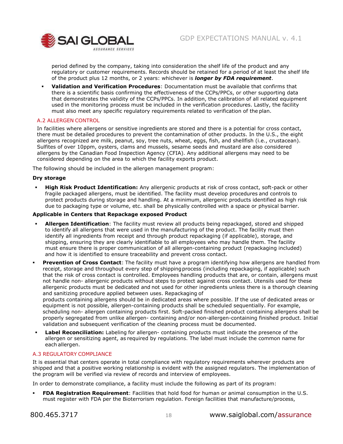

period defined by the company, taking into consideration the shelf life of the product and any regulatory or customer requirements. Records should be retained for a period of at least the shelf life of the product plus 12 months, or 2 years: whichever is **longer by FDA requirement**.

 Validation and Verification Procedures: Documentation must be available that confirms that there is a scientific basis confirming the effectiveness of the CCPs/PPCs, or other supporting data that demonstrates the validity of the CCPs/PPCs. In addition, the calibration of all related equipment used in the monitoring process must be included in the verification procedures. Lastly, the facility must also meet any specific regulatory requirements related to verification of the plan.

#### A.2 ALLERGEN CONTROL

In facilities where allergens or sensitive ingredients are stored and there is a potential for cross contact, there must be detailed procedures to prevent the contamination of other products. In the U.S., the eight allergens recognized are milk, peanut, soy, tree nuts, wheat, eggs, fish, and shellfish (i.e., crustacean). Sulfites of over 10ppm, oysters, clams and mussels, sesame seeds and mustard are also considered allergens by the Canadian Food Inspection Agency (CFIA). Any additional allergens may need to be considered depending on the area to which the facility exports product.

The following should be included in the allergen management program:

#### Dry storage

**High Risk Product Identification:** Any allergenic products at risk of cross contact, soft-pack or other fragile packaged allergens, must be identified. The facility must develop procedures and controls to protect products during storage and handling. At a minimum, allergenic products identified as high risk due to packaging type or volume, etc. shall be physically controlled with a space or physical barrier.

#### Applicable in Centers that Repackage exposed Product

- Allergen Identification: The facility must review all products being repackaged, stored and shipped to identify all allergens that were used in the manufacturing of the product. The facility must then identify all ingredients from receipt and through product repackaging (if applicable), storage, and shipping, ensuring they are clearly identifiable to all employees who may handle them. The facility must ensure there is proper communication of all allergen-containing product (repackaging included) and how it is identified to ensure traceability and prevent cross contact.
- **Prevention of Cross Contact**: The facility must have a program identifying how allergens are handled from receipt, storage and throughout every step of shipping process (including repackaging, if applicable) such that the risk of cross contact is controlled. Employees handling products that are, or contain, allergens must not handle non- allergenic products without steps to protect against cross contact. Utensils used for these allergenic products must be dedicated and not used for other ingredients unless there is a thorough cleaning and sanitizing procedure applied between uses. Repackaging of

products containing allergens should be in dedicated areas where possible. If the use of dedicated areas or equipment is not possible, allergen-containing products shall be scheduled sequentially. For example, scheduling non- allergen containing products first. Soft-packed finished product containing allergens shall be properly segregated from unlike allergen- containing and/or non-allergen-containing finished product. Initial validation and subsequent verification of the cleaning process must be documented.

Label Reconciliation: Labeling for allergen- containing products must indicate the presence of the allergen or sensitizing agent, as required by regulations. The label must include the common name for each allergen.

#### A.3 REGULATORY COMPLIANCE

It is essential that centers operate in total compliance with regulatory requirements wherever products are shipped and that a positive working relationship is evident with the assigned regulators. The implementation of the program will be verified via review of records and interview of employees.

In order to demonstrate compliance, a facility must include the following as part of its program:

**FDA Registration Requirement**: Facilities that hold food for human or animal consumption in the U.S. must register with FDA per the Bioterrorism regulation. Foreign facilities that manufacture/process,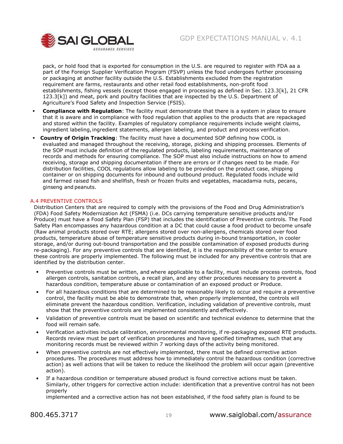



pack, or hold food that is exported for consumption in the U.S. are required to register with FDA aa a part of the Foreign Supplier Verification Program (FSVP) unless the food undergoes further processing or packaging at another facility outside the U.S. Establishments excluded from the registration requirement are farms, restaurants and other retail food establishments, non-profit food establishments, fishing vessels (except those engaged in processing as defined in Sec. 123.3[k], 21 CFR 123.3[k]) and meat, pork and poultry facilities that are inspected by the U.S. Department of Agriculture's Food Safety and Inspection Service (FSIS).

- **Compliance with Regulation**: The facility must demonstrate that there is a system in place to ensure that it is aware and in compliance with food regulation that applies to the products that are repackaged and stored within the facility. Examples of regulatory compliance requirements include weight claims, ingredient labeling, ingredient statements, allergen labeling, and product and process verification.
- **Country of Origin Tracking**: The facility must have a documented SOP defining how COOL is evaluated and managed throughout the receiving, storage, picking and shipping processes. Elements of the SOP must include definition of the regulated products, labeling requirements, maintenance of records and methods for ensuring compliance. The SOP must also include instructions on how to amend receiving, storage and shipping documentation if there are errors or if changes need to be made. For distribution facilities, COOL regulations allow labeling to be provided on the product case, shipping container or on shipping documents for inbound and outbound product. Regulated foods include wild and farmed raised fish and shellfish, fresh or frozen fruits and vegetables, macadamia nuts, pecans, ginseng and peanuts.

#### A.4 PREVENTIVE CONTROLS

Distribution Centers that are required to comply with the provisions of the Food and Drug Administration's (FDA) Food Safety Modernization Act (FSMA) (i.e. DCs carrying temperature sensitive products and/or Produce) must have a Food Safety Plan (FSP) that includes the identification of Preventive controls. The Food Safety Plan encompasses any hazardous condition at a DC that could cause a food product to become unsafe (Raw animal products stored over RTE; allergens stored over non-allergens, chemicals stored over food products, temperature abuse of temperature sensitive products during in-bound transportation, in cooler storage, and/or during out-bound transportation and the possible contamination of exposed products during re-packaging). For any preventive controls that are identified, it is the responsibility of the center to ensure these controls are properly implemented. The following must be included for any preventive controls that are identified by the distribution center.

- Preventive controls must be written, and where applicable to a facility, must include process controls, food allergen controls, sanitation controls, a recall plan, and any other procedures necessary to prevent a hazardous condition, temperature abuse or contamination of an exposed product or Produce.
- For all hazardous conditions that are determined to be reasonably likely to occur and require a preventive control, the facility must be able to demonstrate that, when properly implemented, the controls will eliminate prevent the hazardous condition. Verification, including validation of preventive controls, must show that the preventive controls are implemented consistently and effectively.
- Validation of preventive controls must be based on scientific and technical evidence to determine that the food will remain safe.
- Verification activities include calibration, environmental monitoring, if re-packaging exposed RTE products. Records review must be part of verification procedures and have specified timeframes, such that any monitoring records must be reviewed within 7 working days of the activity being monitored.
- When preventive controls are not effectively implemented, there must be defined corrective action procedures. The procedures must address how to immediately control the hazardous condition (corrective action) as well actions that will be taken to reduce the likelihood the problem will occur again (preventive action).
- If a hazardous condition or temperature abused product is found corrective actions must be taken. Similarly, other triggers for corrective action include: identification that a preventive control has not been properly

implemented and a corrective action has not been established, if the food safety plan is found to be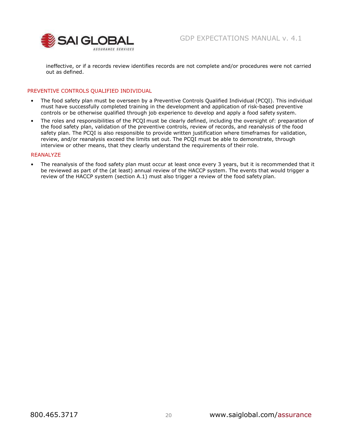



ineffective, or if a records review identifies records are not complete and/or procedures were not carried out as defined.

#### PREVENTIVE CONTROLS QUALIFIED INDIVIDUAL

- The food safety plan must be overseen by a Preventive Controls Qualified Individual (PCQI). This individual must have successfully completed training in the development and application of risk-based preventive controls or be otherwise qualified through job experience to develop and apply a food safety system.
- The roles and responsibilities of the PCQI must be clearly defined, including the oversight of: preparation of the food safety plan, validation of the preventive controls, review of records, and reanalysis of the food safety plan. The PCQI is also responsible to provide written justification where timeframes for validation, review, and/or reanalysis exceed the limits set out. The PCQI must be able to demonstrate, through interview or other means, that they clearly understand the requirements of their role.

#### REANALYZE

• The reanalysis of the food safety plan must occur at least once every 3 years, but it is recommended that it be reviewed as part of the (at least) annual review of the HACCP system. The events that would trigger a review of the HACCP system (section A.1) must also trigger a review of the food safety plan.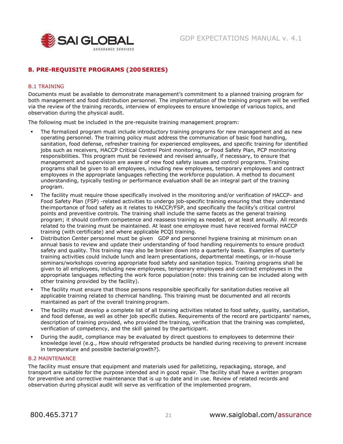

# B. PRE-REQUISITE PROGRAMS (200 SERIES)

#### B.1 TRAINING

Documents must be available to demonstrate management's commitment to a planned training program for both management and food distribution personnel. The implementation of the training program will be verified via the review of the training records, interview of employees to ensure knowledge of various topics, and observation during the physical audit.

The following must be included in the pre-requisite training management program:

- The formalized program must include introductory training programs for new management and as new operating personnel. The training policy must address the communication of basic food handling, sanitation, food defense, refresher training for experienced employees, and specific training for identified jobs such as receivers, HACCP Critical Control Point monitoring, or Food Safety Plan, PCP monitoring responsibilities. This program must be reviewed and revised annually, if necessary, to ensure that management and supervision are aware of new food safety issues and control programs. Training programs shall be given to all employees, including new employees, temporary employees and contract employees in the appropriate languages reflecting the workforce population. A method to document understanding, typically testing or performance evaluation shall be an integral part of the training program.
- The facility must require those specifically involved in the monitoring and/or verification of HACCP- and Food Safety Plan (FSP) -related activities to undergo job-specific training ensuring that they understand the importance of food safety as it relates to HACCP/FSP, and specifically the facility's critical control points and preventive controls. The training shall include the same facets as the general training program; it should confirm competence and reassess training as needed, or at least annually. All records related to the training must be maintained. At least one employee must have received formal HACCP training (with certificate) and where applicable PCQI training.
- Distribution Center personnel must be given GDP and personnel hygiene training at minimum on an annual basis to review and update their understanding of food handling requirements to ensure product safety and quality. This training may also be broken down into a quarterly basis. Examples of quarterly training activities could include lunch and learn presentations, departmental meetings, or in-house seminars/workshops covering appropriate food safety and sanitation topics. Training programs shall be given to all employees, including new employees, temporary employees and contract employees in the appropriate languages reflecting the work force population (note: this training can be included along with other training provided by the facility).
- The facility must ensure that those persons responsible specifically for sanitation duties receive all applicable training related to chemical handling. This training must be documented and all records maintained as part of the overall training program.
- The facility must develop a complete list of all training activities related to food safety, quality, sanitation, and food defense, as well as other job specific duties. Requirements of the record are participants' names, description of training provided, who provided the training, verification that the training was completed, verification of competency, and the skill gained by the participant.
- During the audit, compliance may be evaluated by direct questions to employees to determine their knowledge level (e.g., How should refrigerated products be handled during receiving to prevent increase in temperature and possible bacterial growth?).

#### B.2 MAINTENANCE

The facility must ensure that equipment and materials used for palletizing, repackaging, storage, and transport are suitable for the purpose intended and in good repair. The facility shall have a written program for preventive and corrective maintenance that is up to date and in use. Review of related records and observation during physical audit will serve as verification of the implemented program.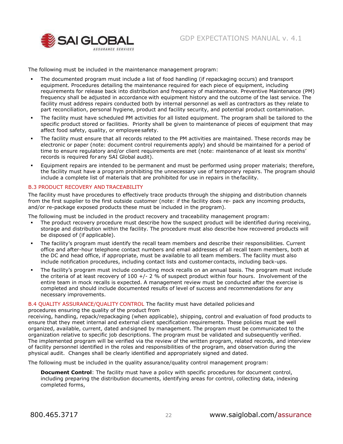

The following must be included in the maintenance management program:

- The documented program must include a list of food handling (if repackaging occurs) and transport equipment. Procedures detailing the maintenance required for each piece of equipment, including requirements for release back into distribution and frequency of maintenance. Preventive Maintenance (PM) frequency shall be adjusted in accordance with equipment history and the outcome of the last service. The facility must address repairs conducted both by internal personnel as well as contractors as they relate to part reconciliation, personal hygiene, product and facility security, and potential product contamination.
- The facility must have scheduled PM activities for all listed equipment. The program shall be tailored to the specific product stored or facilities. Priority shall be given to maintenance of pieces of equipment that may affect food safety, quality, or employee safety.
- The facility must ensure that all records related to the PM activities are maintained. These records may be electronic or paper (note: document control requirements apply) and should be maintained for a period of time to ensure regulatory and/or client requirements are met (note: maintenance of at least six months' records is required for any SAI Global audit).
- Equipment repairs are intended to be permanent and must be performed using proper materials; therefore, the facility must have a program prohibiting the unnecessary use of temporary repairs. The program should include a complete list of materials that are prohibited for use in repairs in the facility.

#### B.3 PRODUCT RECOVERY AND TRACEABILITY

The facility must have procedures to effectively trace products through the shipping and distribution channels from the first supplier to the first outside customer (note: if the facility does re- pack any incoming products, and/or re-package exposed products these must be included in the program).

The following must be included in the product recovery and traceability management program:

- The product recovery procedure must describe how the suspect product will be identified during receiving, storage and distribution within the facility. The procedure must also describe how recovered products will be disposed of (if applicable).
- The facility's program must identify the recall team members and describe their responsibilities. Current office and after-hour telephone contact numbers and email addresses of all recall team members, both at the DC and head office, if appropriate, must be available to all team members. The facility must also include notification procedures, including contact lists and customer contacts, including back-ups.
- The facility's program must include conducting mock recalls on an annual basis. The program must include the criteria of at least recovery of  $100 + (-2)$ % of suspect product within four hours. Involvement of the entire team in mock recalls is expected. A management review must be conducted after the exercise is completed and should include documented results of level of success and recommendations for any necessary improvements.

### B.4 QUALITY ASSURANCE/QUALITY CONTROL The facility must have detailed policies and

procedures ensuring the quality of the product from

receiving, handling, repack/repackaging (when applicable), shipping, control and evaluation of food products to ensure that they meet internal and external client specification requirements. These policies must be well organized, available, current, dated and signed by management. The program must be communicated to the organization relative to specific job descriptions. The program must be validated and subsequently verified. The implemented program will be verified via the review of the written program, related records, and interview of facility personnel identified in the roles and responsibilities of the program, and observation during the physical audit. Changes shall be clearly identified and appropriately signed and dated.

The following must be included in the quality assurance/quality control management program:

**Document Control:** The facility must have a policy with specific procedures for document control, including preparing the distribution documents, identifying areas for control, collecting data, indexing completed forms,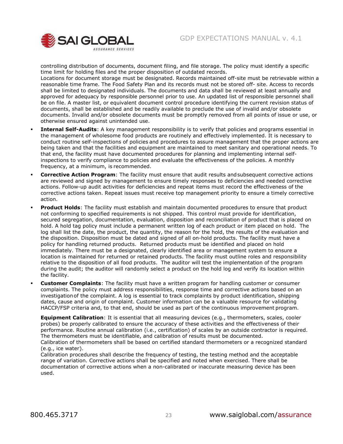



controlling distribution of documents, document filing, and file storage. The policy must identify a specific time limit for holding files and the proper disposition of outdated records. Locations for document storage must be designated. Records maintained off-site must be retrievable within a reasonable time frame. The Food Safety Plan and its records must not be stored off- site. Access to records shall be limited to designated individuals. The documents and data shall be reviewed at least annually and approved for adequacy by responsible personnel prior to use. An updated list of responsible personnel shall be on file. A master list, or equivalent document control procedure identifying the current revision status of documents, shall be established and be readily available to preclude the use of invalid and/or obsolete documents. Invalid and/or obsolete documents must be promptly removed from all points of issue or use, or otherwise ensured against unintended use.

- Internal Self-Audits: A key management responsibility is to verify that policies and programs essential in the management of wholesome food products are routinely and effectively implemented. It is necessary to conduct routine self-inspections of policies and procedures to assure management that the proper actions are being taken and that the facilities and equipment are maintained to meet sanitary and operational needs. To that end, the facility must have documented procedures for planning and implementing internal selfinspections to verify compliance to policies and evaluate the effectiveness of the policies. A monthly frequency, at a minimum, is recommended.
- Corrective Action Program: The facility must ensure that audit results and subsequent corrective actions are reviewed and signed by management to ensure timely responses to deficiencies and needed corrective actions. Follow-up audit activities for deficiencies and repeat items must record the effectiveness of the corrective actions taken. Repeat issues must receive top management priority to ensure a timely corrective action.
- **Product Holds:** The facility must establish and maintain documented procedures to ensure that product not conforming to specified requirements is not shipped. This control must provide for identification, secured segregation, documentation, evaluation, disposition and reconciliation of product that is placed on hold. A hold tag policy must include a permanent written log of each product or item placed on hold. The log shall list the date, the product, the quantity, the reason for the hold, the results of the evaluation and the disposition. Disposition must be dated and signed of all on-hold products. The facility must have a policy for handling returned products. Returned products must be identified and placed on hold immediately. There must be a designated, clearly identified area or management system to ensure a location is maintained for returned or retained products. The facility must outline roles and responsibility relative to the disposition of all food products. The auditor will test the implementation of the program during the audit; the auditor will randomly select a product on the hold log and verify its location within the facility.
- **Customer Complaints:** The facility must have a written program for handling customer or consumer complaints. The policy must address responsibilities, response time and corrective actions based on an investigation of the complaint. A log is essential to track complaints by product identification, shipping dates, cause and origin of complaint. Customer information can be a valuable resource for validating HACCP/FSP criteria and, to that end, should be used as part of the continuous improvement program.

**Equipment Calibration**: It is essential that all measuring devices (e.g., thermometers, scales, cooler probes) be properly calibrated to ensure the accuracy of these activities and the effectiveness of their performance. Routine annual calibration (i.e., certification) of scales by an outside contractor is required. The thermometers must be identifiable, and calibration of results must be documented. Calibration of thermometers shall be based on certified standard thermometers or a recognized standard

(e.g., ice water).

Calibration procedures shall describe the frequency of testing, the testing method and the acceptable range of variation. Corrective actions shall be specified and noted when exercised. There shall be documentation of corrective actions when a non-calibrated or inaccurate measuring device has been used.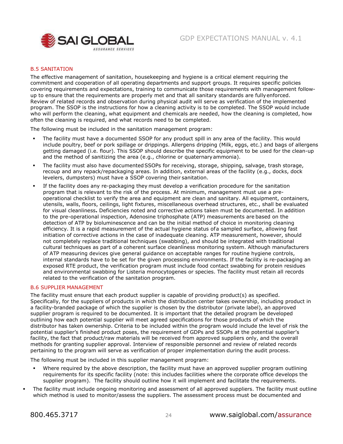

#### B.5 SANITATION

The effective management of sanitation, housekeeping and hygiene is a critical element requiring the commitment and cooperation of all operating departments and support groups. It requires specific policies covering requirements and expectations, training to communicate those requirements with management followup to ensure that the requirements are properly met and that all sanitary standards are fully enforced. Review of related records and observation during physical audit will serve as verification of the implemented program. The SSOP is the instructions for how a cleaning activity is to be completed. The SSOP would include who will perform the cleaning, what equipment and chemicals are needed, how the cleaning is completed, how often the cleaning is required, and what records need to be completed.

The following must be included in the sanitation management program:

- The facility must have a documented SSOP for any product spill in any area of the facility. This would include poultry, beef or pork spillage or drippings. Allergens dripping (Milk, eggs, etc.) and bags of allergens getting damaged (i.e. flour). This SSOP should describe the specific equipment to be used for the clean-up and the method of sanitizing the area (e.g., chlorine or quaternary ammonia).
- The facility must also have documented SSOPs for receiving, storage, shipping, salvage, trash storage, recoup and any repack/repackaging areas. In addition, external areas of the facility (e.g., docks, dock levelers, dumpsters) must have a SSOP covering their sanitation.
- If the facility does any re-packaging they must develop a verification procedure for the sanitation program that is relevant to the risk of the process. At minimum, management must use a preoperational checklist to verify the area and equipment are clean and sanitary. All equipment, containers, utensils, walls, floors, ceilings, light fixtures, miscellaneous overhead structures, etc., shall be evaluated for visual cleanliness. Deficiencies noted and corrective actions taken must be documented. In addition to the pre-operational inspection, Adenosine triphosphate (ATP) measurements are based on the detection of ATP by bioluminescence and can be the initial method of choice in monitoring cleaning efficiency. It is a rapid measurement of the actual hygiene status of a sampled surface, allowing fast initiation of corrective actions in the case of inadequate cleaning. ATP measurement, however, should not completely replace traditional techniques (swabbing), and should be integrated with traditional cultural techniques as part of a coherent surface cleanliness monitoring system. Although manufacturers of ATP measuring devices give general guidance on acceptable ranges for routine hygiene controls, internal standards have to be set for the given processing environments. If the facility is re-packaging an exposed RTE product, the verification program must include food contact swabbing for protein residues and environmental swabbing for Listeria monocytogenes or species. The facility must retain all records related to the verification of the sanitation program.

#### B.6 SUPPLIER MANAGEMENT

The facility must ensure that each product supplier is capable of providing product(s) as specified. Specifically, for the suppliers of products in which the distribution center takes ownership, including product in a facility-branded package of which the supplier is chosen by the distributor (private label), an approved supplier program is required to be documented. It is important that the detailed program be developed outlining how each potential supplier will meet agreed specifications for those products of which the distributor has taken ownership. Criteria to be included within the program would include the level of risk the potential supplier's finished product poses, the requirement of GDPs and SSOPs at the potential supplier's facility, the fact that product/raw materials will be received from approved suppliers only, and the overall methods for granting supplier approval. Interview of responsible personnel and review of related records pertaining to the program will serve as verification of proper implementation during the audit process.

The following must be included in this supplier management program:

- Where required by the above description, the facility must have an approved supplier program outlining requirements for its specific facility (note: this includes facilities where the corporate office develops the supplier program). The facility should outline how it will implement and facilitate the requirements.
- The facility must include ongoing monitoring and assessment of all approved suppliers. The facility must outline which method is used to monitor/assess the suppliers. The assessment process must be documented and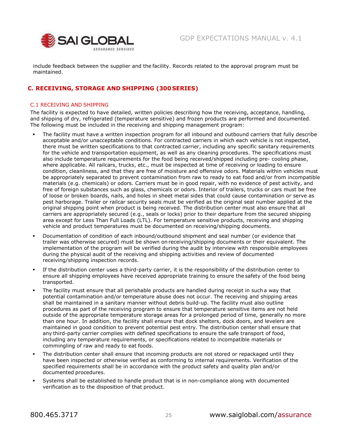



include feedback between the supplier and the facility. Records related to the approval program must be maintained.

# C. RECEIVING, STORAGE AND SHIPPING (300 SERIES)

#### C.1 RECEIVING AND SHIPPING

The facility is expected to have detailed, written policies describing how the receiving, acceptance, handling, and shipping of dry, refrigerated (temperature sensitive) and frozen products are performed and documented. The following must be included in the receiving and shipping management program:

- The facility must have a written inspection program for all inbound and outbound carriers that fully describe acceptable and/or unacceptable conditions. For contracted carriers in which each vehicle is not inspected, there must be written specifications to that contracted carrier, including any specific sanitary requirements for the vehicle and transportation equipment, as well as any cleaning procedures. The specifications must also include temperature requirements for the food being received/shipped including pre- cooling phase, where applicable. All railcars, trucks, etc., must be inspected at time of receiving or loading to ensure condition, cleanliness, and that they are free of moisture and offensive odors. Materials within vehicles must be appropriately separated to prevent contamination from raw to ready to eat food and/or from incompatible materials (e.g. chemicals) or odors. Carriers must be in good repair, with no evidence of pest activity, and free of foreign substances such as glass, chemicals or odors. Interior of trailers, trucks or cars must be free of loose or broken boards, nails, and holes in sheet metal sides that could cause contamination or serve as pest harborage. Trailer or railcar security seals must be verified as the original seal number applied at the original shipping point when product is being received. The distribution center must also ensure that all carriers are appropriately secured (e.g., seals or locks) prior to their departure from the secured shipping area except for Less Than Full Loads (LTL). For temperature sensitive products, receiving and shipping vehicle and product temperatures must be documented on receiving/shipping documents.
- Documentation of condition of each inbound/outbound shipment and seal number (or evidence that trailer was otherwise secured) must be shown on receiving/shipping documents or their equivalent. The implementation of the program will be verified during the audit by interview with responsible employees during the physical audit of the receiving and shipping activities and review of documented receiving/shipping inspection records.
- If the distribution center uses a third-party carrier, it is the responsibility of the distribution center to ensure all shipping employees have received appropriate training to ensure the safety of the food being transported.
- The facility must ensure that all perishable products are handled during receipt in such a way that potential contamination and/or temperature abuse does not occur. The receiving and shipping areas shall be maintained in a sanitary manner without debris build-up. The facility must also outline procedures as part of the receiving program to ensure that temperature sensitive items are not held outside of the appropriate temperature storage areas for a prolonged period of time, generally no more than one hour. In addition, the facility shall ensure that dock shelters, dock doors, and levelers are maintained in good condition to prevent potential pest entry. The distribution center shall ensure that any third-party carrier complies with defined specifications to ensure the safe transport of food, including any temperature requirements, or specifications related to incompatible materials or commingling of raw and ready to eat foods.
- The distribution center shall ensure that incoming products are not stored or repackaged until they have been inspected or otherwise verified as conforming to internal requirements. Verification of the specified requirements shall be in accordance with the product safety and quality plan and/or documented procedures.
- Systems shall be established to handle product that is in non-compliance along with documented verification as to the disposition of that product.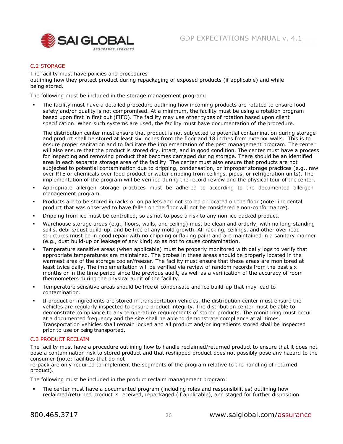

#### C.2 STORAGE

The facility must have policies and procedures

outlining how they protect product during repackaging of exposed products (if applicable) and while being stored.

The following must be included in the storage management program:

 The facility must have a detailed procedure outlining how incoming products are rotated to ensure food safety and/or quality is not compromised. At a minimum, the facility must be using a rotation program based upon first in first out (FIFO). The facility may use other types of rotation based upon client specification. When such systems are used, the facility must have documentation of the procedure.

The distribution center must ensure that product is not subjected to potential contamination during storage and product shall be stored at least six inches from the floor and 18 inches from exterior walls. This is to ensure proper sanitation and to facilitate the implementation of the pest management program. The center will also ensure that the product is stored dry, intact, and in good condition. The center must have a process for inspecting and removing product that becomes damaged during storage. There should be an identified area in each separate storage area of the facility. The center must also ensure that products are not subjected to potential contamination due to dripping, condensation, or improper storage practices (e.g., raw over RTE or chemicals over food product or water dripping from ceilings, pipes, or refrigeration units). The implementation of the program will be verified during the record review and the physical tour of the center.

- Appropriate allergen storage practices must be adhered to according to the documented allergen management program.
- Products are to be stored in racks or on pallets and not stored or located on the floor (note: incidental product that was observed to have fallen on the floor will not be considered a non-conformance).
- Dripping from ice must be controlled, so as not to pose a risk to any non-ice packed product.
- Warehouse storage areas (e.g., floors, walls, and ceiling) must be clean and orderly, with no long-standing spills, debris/dust build-up, and be free of any mold growth. All racking, ceilings, and other overhead structures must be in good repair with no chipping or flaking paint and are maintained in a sanitary manner (e.g., dust build-up or leakage of any kind) so as not to cause contamination.
- Temperature sensitive areas (when applicable) must be properly monitored with daily logs to verify that appropriate temperatures are maintained. The probes in these areas should be properly located in the warmest area of the storage cooler/freezer. The facility must ensure that these areas are monitored at least twice daily. The implementation will be verified via review of random records from the past six months or in the time period since the previous audit, as well as a verification of the accuracy of room thermometers during the physical audit of the facility.
- Temperature sensitive areas should be free of condensate and ice build-up that may lead to contamination.
- If product or ingredients are stored in transportation vehicles, the distribution center must ensure the vehicles are regularly inspected to ensure product integrity. The distribution center must be able to demonstrate compliance to any temperature requirements of stored products. The monitoring must occur at a documented frequency and the site shall be able to demonstrate compliance at all times. Transportation vehicles shall remain locked and all product and/or ingredients stored shall be inspected prior to use or being transported.

#### C.3 PRODUCT RECLAIM

The facility must have a procedure outlining how to handle reclaimed/returned product to ensure that it does not pose a contamination risk to stored product and that reshipped product does not possibly pose any hazard to the consumer (note: facilities that do not

re-pack are only required to implement the segments of the program relative to the handling of returned product).

The following must be included in the product reclaim management program:

 The center must have a documented program (including roles and responsibilities) outlining how reclaimed/returned product is received, repackaged (if applicable), and staged for further disposition.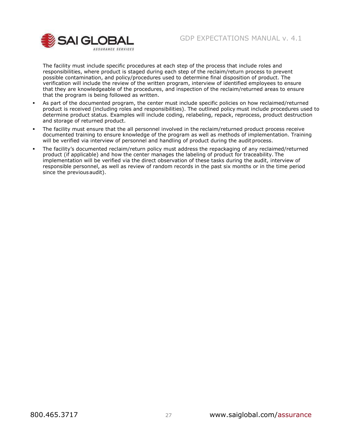

The facility must include specific procedures at each step of the process that include roles and responsibilities, where product is staged during each step of the reclaim/return process to prevent possible contamination, and policy/procedures used to determine final disposition of product. The verification will include the review of the written program, interview of identified employees to ensure that they are knowledgeable of the procedures, and inspection of the reclaim/returned areas to ensure that the program is being followed as written.

- As part of the documented program, the center must include specific policies on how reclaimed/returned product is received (including roles and responsibilities). The outlined policy must include procedures used to determine product status. Examples will include coding, relabeling, repack, reprocess, product destruction and storage of returned product.
- The facility must ensure that the all personnel involved in the reclaim/returned product process receive documented training to ensure knowledge of the program as well as methods of implementation. Training will be verified via interview of personnel and handling of product during the audit process.
- The facility's documented reclaim/return policy must address the repackaging of any reclaimed/returned product (if applicable) and how the center manages the labeling of product for traceability. The implementation will be verified via the direct observation of these tasks during the audit, interview of responsible personnel, as well as review of random records in the past six months or in the time period since the previous audit).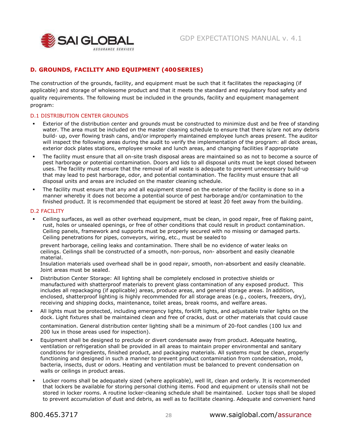



# D. GROUNDS, FACILITY AND EQUIPMENT (400 SERIES)

The construction of the grounds, facility, and equipment must be such that it facilitates the repackaging (if applicable) and storage of wholesome product and that it meets the standard and regulatory food safety and quality requirements. The following must be included in the grounds, facility and equipment management program:

#### D.1 DISTRIBUTION CENTER GROUNDS

- Exterior of the distribution center and grounds must be constructed to minimize dust and be free of standing water. The area must be included on the master cleaning schedule to ensure that there is/are not any debris build- up, over flowing trash cans, and/or improperly maintained employee lunch areas present. The auditor will inspect the following areas during the audit to verify the implementation of the program: all dock areas, exterior dock plates stations, employee smoke and lunch areas, and changing facilities if appropriate
- The facility must ensure that all on-site trash disposal areas are maintained so as not to become a source of pest harborage or potential contamination. Doors and lids to all disposal units must be kept closed between uses. The facility must ensure that the removal of all waste is adequate to prevent unnecessary build-up that may lead to pest harborage, odor, and potential contamination. The facility must ensure that all disposal units and areas are included on the master cleaning schedule.
- The facility must ensure that any and all equipment stored on the exterior of the facility is done so in a manner whereby it does not become a potential source of pest harborage and/or contamination to the finished product. It is recommended that equipment be stored at least 20 feet away from the building.

#### D.2 FACILITY

 Ceiling surfaces, as well as other overhead equipment, must be clean, in good repair, free of flaking paint, rust, holes or unsealed openings, or free of other conditions that could result in product contamination. Ceiling panels, framework and supports must be properly secured with no missing or damaged parts. Ceiling penetrations for pipes, conveyors, wiring, etc., must be sealed to

prevent harborage, ceiling leaks and contamination. There shall be no evidence of water leaks on ceilings. Ceilings shall be constructed of a smooth, non-porous, non- absorbent and easily cleanable material.

Insulation materials used overhead shall be in good repair, smooth, non-absorbent and easily cleanable. Joint areas must be sealed.

- Distribution Center Storage: All lighting shall be completely enclosed in protective shields or manufactured with shatterproof materials to prevent glass contamination of any exposed product. This includes all repackaging (if applicable) areas, produce areas, and general storage areas. In addition, enclosed, shatterproof lighting is highly recommended for all storage areas (e.g., coolers, freezers, dry), receiving and shipping docks, maintenance, toilet areas, break rooms, and welfare areas.
- All lights must be protected, including emergency lights, forklift lights, and adjustable trailer lights on the dock. Light fixtures shall be maintained clean and free of cracks, dust or other materials that could cause contamination. General distribution center lighting shall be a minimum of 20-foot candles (100 lux and

200 lux in those areas used for inspection).

- Equipment shall be designed to preclude or divert condensate away from product. Adequate heating, ventilation or refrigeration shall be provided in all areas to maintain proper environmental and sanitary conditions for ingredients, finished product, and packaging materials. All systems must be clean, properly functioning and designed in such a manner to prevent product contamination from condensation, mold, bacteria, insects, dust or odors. Heating and ventilation must be balanced to prevent condensation on walls or ceilings in product areas.
- Locker rooms shall be adequately sized (where applicable), well lit, clean and orderly. It is recommended that lockers be available for storing personal clothing items. Food and equipment or utensils shall not be stored in locker rooms. A routine locker-cleaning schedule shall be maintained. Locker tops shall be sloped to prevent accumulation of dust and debris, as well as to facilitate cleaning. Adequate and convenient hand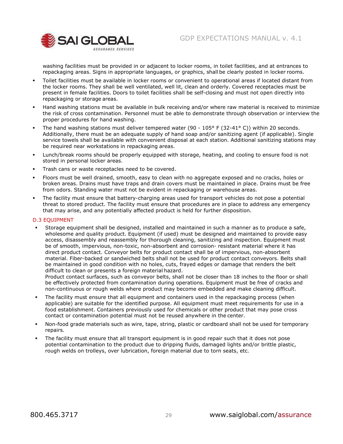

washing facilities must be provided in or adjacent to locker rooms, in toilet facilities, and at entrances to repackaging areas. Signs in appropriate languages, or graphics, shall be clearly posted in locker rooms.

- Toilet facilities must be available in locker rooms or convenient to operational areas if located distant from the locker rooms. They shall be well ventilated, well lit, clean and orderly. Covered receptacles must be present in female facilities. Doors to toilet facilities shall be self-closing and must not open directly into repackaging or storage areas.
- Hand washing stations must be available in bulk receiving and/or where raw material is received to minimize the risk of cross contamination. Personnel must be able to demonstrate through observation or interview the proper procedures for hand washing.
- The hand washing stations must deliver tempered water  $(90 105^{\circ} F (32-41^{\circ} C))$  within 20 seconds. Additionally, there must be an adequate supply of hand soap and/or sanitizing agent (if applicable). Single service towels shall be available with convenient disposal at each station. Additional sanitizing stations may be required near workstations in repackaging areas.
- Lunch/break rooms should be properly equipped with storage, heating, and cooling to ensure food is not stored in personal locker areas.
- Trash cans or waste receptacles need to be covered.
- Floors must be well drained, smooth, easy to clean with no aggregate exposed and no cracks, holes or broken areas. Drains must have traps and drain covers must be maintained in place. Drains must be free from odors. Standing water must not be evident in repackaging or warehouse areas.
- The facility must ensure that battery-charging areas used for transport vehicles do not pose a potential threat to stored product. The facility must ensure that procedures are in place to address any emergency that may arise, and any potentially affected product is held for further disposition.

#### D.3 EQUIPMENT

 Storage equipment shall be designed, installed and maintained in such a manner as to produce a safe, wholesome and quality product. Equipment (if used) must be designed and maintained to provide easy access, disassembly and reassembly for thorough cleaning, sanitizing and inspection. Equipment must be of smooth, impervious, non-toxic, non-absorbent and corrosion- resistant material where it has direct product contact. Conveyor belts for product contact shall be of impervious, non-absorbent material. Fiber-backed or sandwiched belts shall not be used for product contact conveyors. Belts shall be maintained in good condition with no holes, cuts, frayed edges or damage that renders the belt difficult to clean or presents a foreign material hazard.

Product contact surfaces, such as conveyor belts, shall not be closer than 18 inches to the floor or shall be effectively protected from contamination during operations. Equipment must be free of cracks and non-continuous or rough welds where product may become embedded and make cleaning difficult.

- The facility must ensure that all equipment and containers used in the repackaging process (when applicable) are suitable for the identified purpose. All equipment must meet requirements for use in a food establishment. Containers previously used for chemicals or other product that may pose cross contact or contamination potential must not be reused anywhere in the center.
- Non-food grade materials such as wire, tape, string, plastic or cardboard shall not be used for temporary repairs.
- The facility must ensure that all transport equipment is in good repair such that it does not pose potential contamination to the product due to dripping fluids, damaged lights and/or brittle plastic, rough welds on trolleys, over lubrication, foreign material due to torn seats, etc.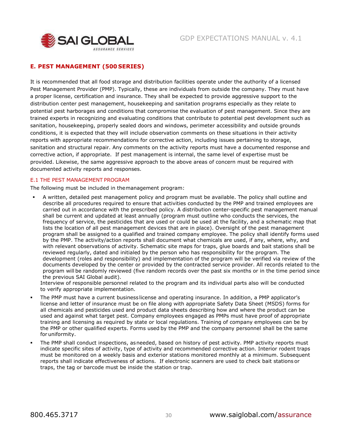

# E. PEST MANAGEMENT (500 SERIES)

It is recommended that all food storage and distribution facilities operate under the authority of a licensed Pest Management Provider (PMP). Typically, these are individuals from outside the company. They must have a proper license, certification and insurance. They shall be expected to provide aggressive support to the distribution center pest management, housekeeping and sanitation programs especially as they relate to potential pest harborages and conditions that compromise the evaluation of pest management. Since they are trained experts in recognizing and evaluating conditions that contribute to potential pest development such as sanitation, housekeeping, properly sealed doors and windows, perimeter accessibility and outside grounds conditions, it is expected that they will include observation comments on these situations in their activity reports with appropriate recommendations for corrective action, including issues pertaining to storage, sanitation and structural repair. Any comments on the activity reports must have a documented response and corrective action, if appropriate. If pest management is internal, the same level of expertise must be provided. Likewise, the same aggressive approach to the above areas of concern must be required with documented activity reports and responses.

#### E.1 THE PEST MANAGEMENT PROGRAM

The following must be included in the management program:

 A written, detailed pest management policy and program must be available. The policy shall outline and describe all procedures required to ensure that activities conducted by the PMP and trained employees are carried out in accordance with the prescribed policy. A distribution center-specific pest management manual shall be current and updated at least annually (program must outline who conducts the services, the frequency of service, the pesticides that are used or could be used at the facility, and a schematic map that lists the location of all pest management devices that are in place). Oversight of the pest management program shall be assigned to a qualified and trained company employee. The policy shall identify forms used by the PMP. The activity/action reports shall document what chemicals are used, if any, where, why, and with relevant observations of activity. Schematic site maps for traps, glue boards and bait stations shall be reviewed regularly, dated and initialed by the person who has responsibility for the program. The development (roles and responsibility) and implementation of the program will be verified via review of the documents developed by the center or provided by the contracted service provider. All records related to the program will be randomly reviewed (five random records over the past six months or in the time period since the previous SAI Global audit).

Interview of responsible personnel related to the program and its individual parts also will be conducted to verify appropriate implementation.

- The PMP must have a current business license and operating insurance. In addition, a PMP applicator's license and letter of insurance must be on file along with appropriate Safety Data Sheet (MSDS) forms for all chemicals and pesticides used and product data sheets describing how and where the product can be used and against what target pest. Company employees engaged as PMPs must have proof of appropriate training and licensing as required by state or local regulations. Training of company employees can be by the PMP or other qualified experts. Forms used by the PMP and the company personnel shall be the same for uniformity.
- The PMP shall conduct inspections, as needed, based on history of pest activity. PMP activity reports must indicate specific sites of activity, type of activity and recommended corrective action. Interior rodent traps must be monitored on a weekly basis and exterior stations monitored monthly at a minimum. Subsequent reports shall indicate effectiveness of actions. If electronic scanners are used to check bait stations or traps, the tag or barcode must be inside the station or trap.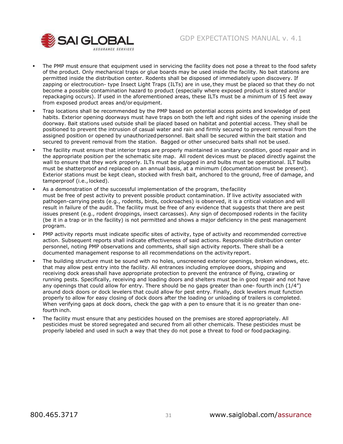

- The PMP must ensure that equipment used in servicing the facility does not pose a threat to the food safety of the product. Only mechanical traps or glue boards may be used inside the facility. No bait stations are permitted inside the distribution center. Rodents shall be disposed of immediately upon discovery. If zapping or electrocution- type Insect Light Traps (ILTs) are in use, they must be placed so that they do not become a possible contamination hazard to product (especially where exposed product is stored and/or repackaging occurs). If used in the aforementioned areas, these ILTs must be a minimum of 15 feet away from exposed product areas and/or equipment.
- Trap locations shall be recommended by the PMP based on potential access points and knowledge of pest habits. Exterior opening doorways must have traps on both the left and right sides of the opening inside the doorway. Bait stations used outside shall be placed based on habitat and potential access. They shall be positioned to prevent the intrusion of casual water and rain and firmly secured to prevent removal from the assigned position or opened by unauthorized personnel. Bait shall be secured within the bait station and secured to prevent removal from the station. Bagged or other unsecured baits shall not be used.
- The facility must ensure that interior traps are properly maintained in sanitary condition, good repair and in the appropriate position per the schematic site map. All rodent devices must be placed directly against the wall to ensure that they work properly. ILTs must be plugged in and bulbs must be operational. ILT bulbs must be shatterproof and replaced on an annual basis, at a minimum (documentation must be present). Exterior stations must be kept clean, stocked with fresh bait, anchored to the ground, free of damage, and tamperproof (i.e., locked).
- As a demonstration of the successful implementation of the program, the facility must be free of pest activity to prevent possible product contamination. If live activity associated with pathogen-carrying pests (e.g., rodents, birds, cockroaches) is observed, it is a critical violation and will result in failure of the audit. The facility must be free of any evidence that suggests that there are pest issues present (e.g., rodent droppings, insect carcasses). Any sign of decomposed rodents in the facility (be it in a trap or in the facility) is not permitted and shows a major deficiency in the pest management program.
- PMP activity reports must indicate specific sites of activity, type of activity and recommended corrective action. Subsequent reports shall indicate effectiveness of said actions. Responsible distribution center personnel, noting PMP observations and comments, shall sign activity reports. There shall be a documented management response to all recommendations on the activity report.
- The building structure must be sound with no holes, unscreened exterior openings, broken windows, etc. that may allow pest entry into the facility. All entrances including employee doors, shipping and receiving dock areas shall have appropriate protection to prevent the entrance of flying, crawling or running pests. Specifically, receiving and loading doors and shelters must be in good repair and not have any openings that could allow for entry. There should be no gaps greater than one- fourth inch (1/4") around dock doors or dock levelers that could allow for pest entry. Finally, dock levelers must function properly to allow for easy closing of dock doors after the loading or unloading of trailers is completed. When verifying gaps at dock doors, check the gap with a pen to ensure that it is no greater than onefourth inch.
- The facility must ensure that any pesticides housed on the premises are stored appropriately. All pesticides must be stored segregated and secured from all other chemicals. These pesticides must be properly labeled and used in such a way that they do not pose a threat to food or food packaging.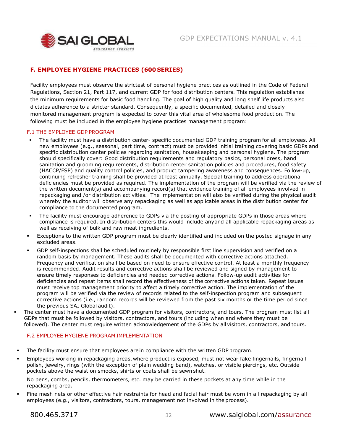

# F. EMPLOYEE HYGIENE PRACTICES (600 SERIES)

Facility employees must observe the strictest of personal hygiene practices as outlined in the Code of Federal Regulations, Section 21, Part 117, and current GDP for food distribution centers. This regulation establishes the minimum requirements for basic food handling. The goal of high quality and long shelf life products also dictates adherence to a stricter standard. Consequently, a specific documented, detailed and closely monitored management program is expected to cover this vital area of wholesome food production. The following must be included in the employee hygiene practices management program:

#### F.1 THE EMPLOYEE GDP PROGRAM

- The facility must have a distribution center- specific documented GDP training program for all employees. All new employees (e.g., seasonal, part time, contract) must be provided initial training covering basic GDPs and specific distribution center policies regarding sanitation, housekeeping and personal hygiene. The program should specifically cover: Good distribution requirements and regulatory basics, personal dress, hand sanitation and grooming requirements, distribution center sanitation policies and procedures, food safety (HACCP/FSP) and quality control policies, and product tampering awareness and consequences. Follow-up, continuing refresher training shall be provided at least annually. Special training to address operational deficiencies must be provided as required. The implementation of the program will be verified via the review of the written document(s) and accompanying record(s) that evidence training of all employees involved in repackaging and /or distribution activities. The implementation will also be verified during the physical audit whereby the auditor will observe any repackaging as well as applicable areas in the distribution center for compliance to the documented program.
- The facility must encourage adherence to GDPs via the posting of appropriate GDPs in those areas where compliance is required. In distribution centers this would include any and all applicable repackaging areas as well as receiving of bulk and raw meat ingredients.
- Exceptions to the written GDP program must be clearly identified and included on the posted signage in any excluded areas.
- GDP self-inspections shall be scheduled routinely by responsible first line supervision and verified on a random basis by management. These audits shall be documented with corrective actions attached. Frequency and verification shall be based on need to ensure effective control. At least a monthly frequency is recommended. Audit results and corrective actions shall be reviewed and signed by management to ensure timely responses to deficiencies and needed corrective actions. Follow-up audit activities for deficiencies and repeat items shall record the effectiveness of the corrective actions taken. Repeat issues must receive top management priority to affect a timely corrective action. The implementation of the program will be verified via the review of records related to the self-inspection program and subsequent corrective actions (i.e., random records will be reviewed from the past six months or the time period since the previous SAI Global audit).
- The center must have a documented GDP program for visitors, contractors, and tours. The program must list all GDPs that must be followed by visitors, contractors, and tours (including when and where they must be followed). The center must require written acknowledgement of the GDPs by all visitors, contractors, and tours.

#### F.2 EMPLOYEE HYGIENE PROGRAM IMPLEMENTATION

- The facility must ensure that employees are in compliance with the written GDP program.
- Employees working in repackaging areas, where product is exposed, must not wear fake fingernails, fingernail polish, jewelry, rings (with the exception of plain wedding band), watches, or visible piercings, etc. Outside pockets above the waist on smocks, shirts or coats shall be sewn shut.

No pens, combs, pencils, thermometers, etc. may be carried in these pockets at any time while in the repackaging area.

 Fine mesh nets or other effective hair restraints for head and facial hair must be worn in all repackaging by all employees (e.g., visitors, contractors, tours, management not involved in the process).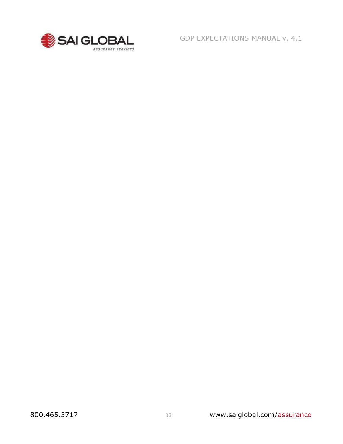

GDP EXPECTATIONS MANUAL v. 4.1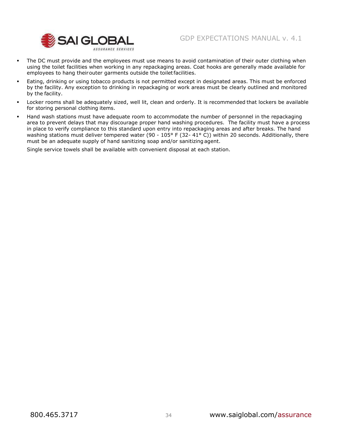



- The DC must provide and the employees must use means to avoid contamination of their outer clothing when using the toilet facilities when working in any repackaging areas. Coat hooks are generally made available for employees to hang their outer garments outside the toilet facilities.
- Eating, drinking or using tobacco products is not permitted except in designated areas. This must be enforced by the facility. Any exception to drinking in repackaging or work areas must be clearly outlined and monitored by the facility.
- Locker rooms shall be adequately sized, well lit, clean and orderly. It is recommended that lockers be available for storing personal clothing items.
- Hand wash stations must have adequate room to accommodate the number of personnel in the repackaging area to prevent delays that may discourage proper hand washing procedures. The facility must have a process in place to verify compliance to this standard upon entry into repackaging areas and after breaks. The hand washing stations must deliver tempered water (90 - 105° F (32- 41° C)) within 20 seconds. Additionally, there must be an adequate supply of hand sanitizing soap and/or sanitizing agent.

Single service towels shall be available with convenient disposal at each station.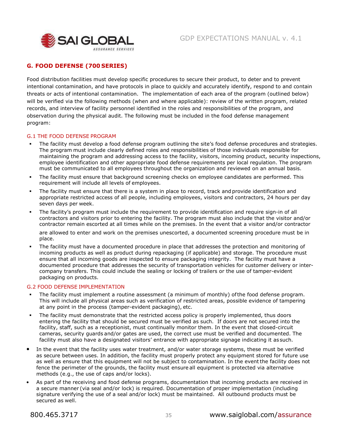

# G. FOOD DEFENSE (700 SERIES)

Food distribution facilities must develop specific procedures to secure their product, to deter and to prevent intentional contamination, and have protocols in place to quickly and accurately identify, respond to and contain threats or acts of intentional contamination. The implementation of each area of the program (outlined below) will be verified via the following methods (when and where applicable): review of the written program, related records, and interview of facility personnel identified in the roles and responsibilities of the program, and observation during the physical audit. The following must be included in the food defense management program:

#### G.1 THE FOOD DEFENSE PROGRAM

- The facility must develop a food defense program outlining the site's food defense procedures and strategies. The program must include clearly defined roles and responsibilities of those individuals responsible for maintaining the program and addressing access to the facility, visitors, incoming product, security inspections, employee identification and other appropriate food defense requirements per local regulation. The program must be communicated to all employees throughout the organization and reviewed on an annual basis.
- The facility must ensure that background screening checks on employee candidates are performed. This requirement will include all levels of employees.
- The facility must ensure that there is a system in place to record, track and provide identification and appropriate restricted access of all people, including employees, visitors and contractors, 24 hours per day seven days per week.
- The facility's program must include the requirement to provide identification and require sign-in of all contractors and visitors prior to entering the facility. The program must also include that the visitor and/or contractor remain escorted at all times while on the premises. In the event that a visitor and/or contractor

are allowed to enter and work on the premises unescorted, a documented screening procedure must be in place.

 The facility must have a documented procedure in place that addresses the protection and monitoring of incoming products as well as product during repackaging (if applicable) and storage. The procedure must ensure that all incoming goods are inspected to ensure packaging integrity. The facility must have a documented procedure that addresses the security of transportation vehicles for customer delivery or intercompany transfers. This could include the sealing or locking of trailers or the use of tamper-evident packaging on products.

#### G.2 FOOD DEFENSE IMPLEMENTATION

- The facility must implement a routine assessment (a minimum of monthly) of the food defense program. This will include all physical areas such as verification of restricted areas, possible evidence of tampering at any point in the process (tamper-evident packaging), etc.
- The facility must demonstrate that the restricted access policy is properly implemented, thus doors entering the facility that should be secured must be verified as such. If doors are not secured into the facility, staff, such as a receptionist, must continually monitor them. In the event that closed-circuit cameras, security guards and/or gates are used, the correct use must be verified and documented. The facility must also have a designated visitors' entrance with appropriate signage indicating it as such.
- In the event that the facility uses water treatment, and/or water storage systems, these must be verified as secure between uses. In addition, the facility must properly protect any equipment stored for future use as well as ensure that this equipment will not be subject to contamination. In the event the facility does not fence the perimeter of the grounds, the facility must ensure all equipment is protected via alternative methods (e.g., the use of caps and/or locks).
- As part of the receiving and food defense programs, documentation that incoming products are received in a secure manner (via seal and/or lock) is required. Documentation of proper implementation (including signature verifying the use of a seal and/or lock) must be maintained. All outbound products must be secured as well.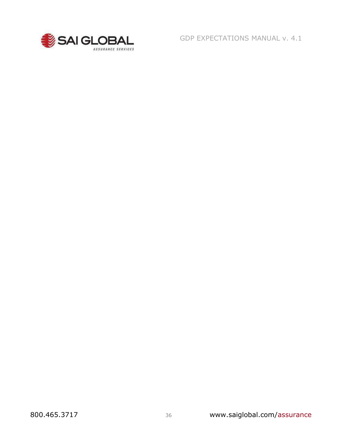

GDP EXPECTATIONS MANUAL v. 4.1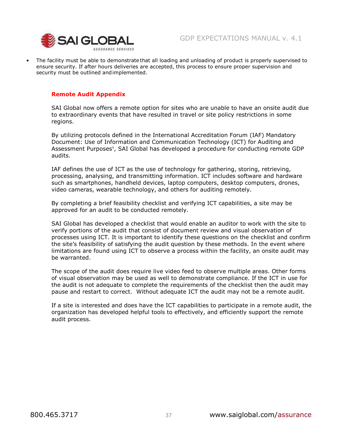

• The facility must be able to demonstrate that all loading and unloading of product is properly supervised to ensure security. If after hours deliveries are accepted, this process to ensure proper supervision and security must be outlined and implemented.

## Remote Audit Appendix

SAI Global now offers a remote option for sites who are unable to have an onsite audit due to extraordinary events that have resulted in travel or site policy restrictions in some regions.

By utilizing protocols defined in the International Accreditation Forum (IAF) Mandatory Document: Use of Information and Communication Technology (ICT) for Auditing and Assessment Purposes<sup>1</sup>, SAI Global has developed a procedure for conducting remote GDP audits.

IAF defines the use of ICT as the use of technology for gathering, storing, retrieving, processing, analysing, and transmitting information. ICT includes software and hardware such as smartphones, handheld devices, laptop computers, desktop computers, drones, video cameras, wearable technology, and others for auditing remotely.

By completing a brief feasibility checklist and verifying ICT capabilities, a site may be approved for an audit to be conducted remotely.

SAI Global has developed a checklist that would enable an auditor to work with the site to verify portions of the audit that consist of document review and visual observation of processes using ICT. It is important to identify these questions on the checklist and confirm the site's feasibility of satisfying the audit question by these methods. In the event where limitations are found using ICT to observe a process within the facility, an onsite audit may be warranted.

The scope of the audit does require live video feed to observe multiple areas. Other forms of visual observation may be used as well to demonstrate compliance. If the ICT in use for the audit is not adequate to complete the requirements of the checklist then the audit may pause and restart to correct. Without adequate ICT the audit may not be a remote audit.

If a site is interested and does have the ICT capabilities to participate in a remote audit, the organization has developed helpful tools to effectively, and efficiently support the remote audit process.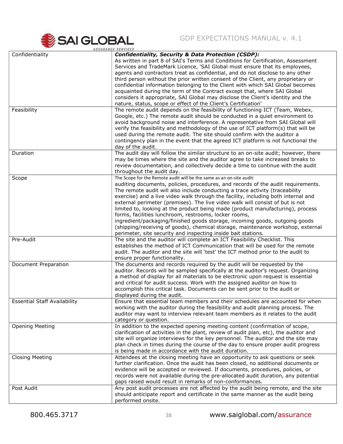

| ASSURANCE SERVICES                  |                                                                                       |  |  |
|-------------------------------------|---------------------------------------------------------------------------------------|--|--|
| Confidentiality                     | Confidentiality, Security & Data Protection (CSDP):                                   |  |  |
|                                     | As written in part 8 of SAI's Terms and Conditions for Certification, Assessment      |  |  |
|                                     | Services and TradeMark Licence, 'SAI Global must ensure that its employees,           |  |  |
|                                     | agents and contractors treat as confidential, and do not disclose to any other        |  |  |
|                                     | third person without the prior written consent of the Client, any proprietary or      |  |  |
|                                     | confidential information belonging to the Client with which SAI Global becomes        |  |  |
|                                     | acquainted during the term of the Contract except that, where SAI Global              |  |  |
|                                     | considers it appropriate, SAI Global may disclose the Client's identity and the       |  |  |
|                                     | nature, status, scope or effect of the Client's Certification'                        |  |  |
| Feasibility                         | The remote audit depends on the feasibility of functioning ICT (Team, Webex,          |  |  |
|                                     | Google, etc.) The remote audit should be conducted in a quiet environment to          |  |  |
|                                     | avoid background noise and interference. A representative from SAI Global will        |  |  |
|                                     | verify the feasibility and methodology of the use of ICT platform(s) that will be     |  |  |
|                                     | used during the remote audit. The site should confirm with the auditor a              |  |  |
|                                     | contingency plan in the event that the agreed ICT platform is not functional the      |  |  |
|                                     | day of the audit.                                                                     |  |  |
| Duration                            | The audit day will follow the similar structure to an on-site audit; however, there   |  |  |
|                                     | may be times where the site and the auditor agree to take increased breaks to         |  |  |
|                                     | review documentation, and collectively decide a time to continue with the audit       |  |  |
|                                     | throughout the audit day.                                                             |  |  |
| Scope                               | The Scope for the Remote audit will be the same as an on-site audit:                  |  |  |
|                                     | auditing documents, policies, procedures, and records of the audit requirements.      |  |  |
|                                     | The remote audit will also include conducting a trace activity (traceability          |  |  |
|                                     | exercise) and a live video walk through the facility, including both internal and     |  |  |
|                                     | external perimeter (premises). The live video walk will consist of but is not         |  |  |
|                                     | limited to, looking at the product being made (product manufacturing), process        |  |  |
|                                     | forms, facilities lunchroom, restrooms, locker rooms,                                 |  |  |
|                                     |                                                                                       |  |  |
|                                     | ingredient/packaging/finished goods storage, incoming goods, outgoing goods           |  |  |
|                                     | (shipping/receiving of goods), chemical storage, maintenance workshop, external       |  |  |
|                                     | perimeter, site security and inspecting inside bait stations.                         |  |  |
| Pre-Audit                           | The site and the auditor will complete an ICT Feasibility Checklist. This             |  |  |
|                                     | establishes the method of ICT Communication that will be used for the remote          |  |  |
|                                     | audit. The auditor and the site will 'test' the ICT method prior to the audit to      |  |  |
|                                     | ensure proper functionality.                                                          |  |  |
| Document Preparation                | The documents and records required by the audit will be requested by the              |  |  |
|                                     | auditor. Records will be sampled specifically at the auditor's request. Organizing    |  |  |
|                                     | a method of display for all materials to be electronic upon request is essential      |  |  |
|                                     | and critical for audit success. Work with the assigned auditor on how to              |  |  |
|                                     | accomplish this critical task. Documents can be sent prior to the audit or            |  |  |
|                                     | displayed during the audit.                                                           |  |  |
| <b>Essential Staff Availability</b> | Ensure that essential team members and their schedules are accounted for when         |  |  |
|                                     | working with the auditor during the feasibility and audit planning process. The       |  |  |
|                                     | auditor may want to interview relevant team members as it relates to the audit        |  |  |
|                                     | category or question.                                                                 |  |  |
| <b>Opening Meeting</b>              | In addition to the expected opening meeting content (confirmation of scope,           |  |  |
|                                     | clarification of activities in the plant, review of audit plan, etc), the auditor and |  |  |
|                                     | site will organize interviews for the key personnel. The auditor and the site may     |  |  |
|                                     | plan check in times during the course of the day to ensure proper audit progress      |  |  |
|                                     | is being made in accordance with the audit duration.                                  |  |  |
| <b>Closing Meeting</b>              | Attendees at the closing meeting have an opportunity to ask questions or seek         |  |  |
|                                     | further clarification. Once the audit has been closed, no additional documents or     |  |  |
|                                     | evidence will be accepted or reviewed. If documents, procedures, policies, or         |  |  |
|                                     | records were not available during the pre-allocated audit duration, any potential     |  |  |
|                                     | gaps raised would result in remarks of non-conformances.                              |  |  |
| Post Audit                          | Any post audit processes are not affected by the audit being remote, and the site     |  |  |
|                                     | should anticipate report and certificate in the same manner as the audit being        |  |  |
|                                     | performed onsite.                                                                     |  |  |
|                                     |                                                                                       |  |  |